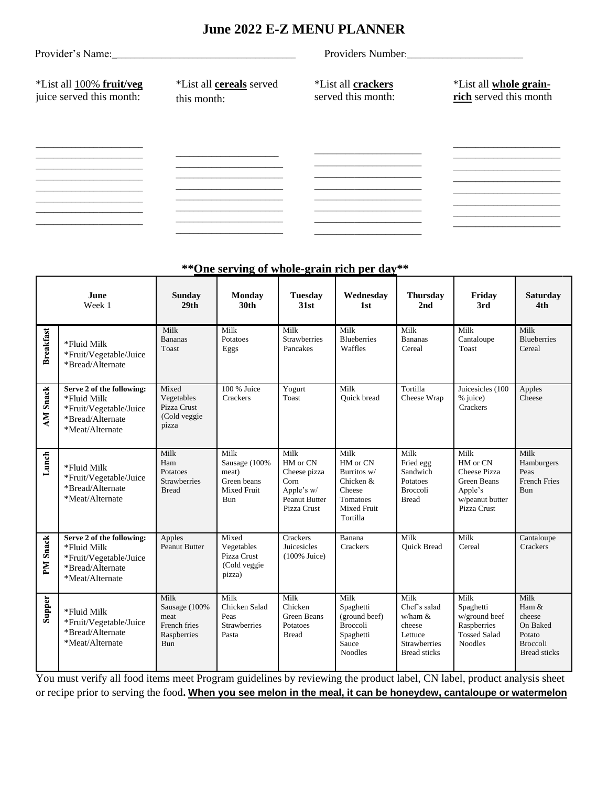## **June 2022 E-Z MENU PLANNER**

|                                                      |                                                | Providers Number:                               |                                                  |  |  |  |
|------------------------------------------------------|------------------------------------------------|-------------------------------------------------|--------------------------------------------------|--|--|--|
| *List all 100% fruit/veg<br>juice served this month: | *List all <b>cereals</b> served<br>this month: | <i>*List all crackers</i><br>served this month: | *List all whole grain-<br>rich served this month |  |  |  |
|                                                      |                                                |                                                 |                                                  |  |  |  |
|                                                      |                                                |                                                 |                                                  |  |  |  |
|                                                      |                                                |                                                 |                                                  |  |  |  |
|                                                      |                                                |                                                 |                                                  |  |  |  |
|                                                      |                                                |                                                 |                                                  |  |  |  |
|                                                      |                                                |                                                 |                                                  |  |  |  |

| **One serving of whole-grain rich per day** |
|---------------------------------------------|
|---------------------------------------------|

|                  | <b>June</b><br>Week 1                                                                                     | <b>Sunday</b><br>29 <sub>th</sub>                                   | <b>Monday</b><br>30th                                                      | <b>Tuesday</b><br>31st                                                                 | Wednesday<br>1st                                                                                     | <b>Thursday</b><br>2nd                                                                                | Friday<br>3rd                                                                                              | <b>Saturday</b><br>4th                                                                  |
|------------------|-----------------------------------------------------------------------------------------------------------|---------------------------------------------------------------------|----------------------------------------------------------------------------|----------------------------------------------------------------------------------------|------------------------------------------------------------------------------------------------------|-------------------------------------------------------------------------------------------------------|------------------------------------------------------------------------------------------------------------|-----------------------------------------------------------------------------------------|
| <b>Breakfast</b> | *Fluid Milk<br>*Fruit/Vegetable/Juice<br>*Bread/Alternate                                                 | Milk<br><b>Bananas</b><br>Toast                                     | Milk<br>Potatoes<br>Eggs                                                   | Milk<br><b>Strawberries</b><br>Pancakes                                                | Milk<br><b>Blueberries</b><br>Waffles                                                                | Milk<br><b>Bananas</b><br>Cereal                                                                      | Milk<br>Cantaloupe<br>Toast                                                                                | Milk<br><b>Blueberries</b><br>Cereal                                                    |
| <b>AM Snack</b>  | Serve 2 of the following:<br>*Fluid Milk<br>*Fruit/Vegetable/Juice<br>*Bread/Alternate<br>*Meat/Alternate | Mixed<br>Vegetables<br>Pizza Crust<br>(Cold veggie<br>pizza         | 100 % Juice<br>Crackers                                                    | Yogurt<br>Toast                                                                        | Milk<br>Quick bread                                                                                  | Tortilla<br>Cheese Wrap                                                                               | Juicesicles (100<br>% juice)<br>Crackers                                                                   | Apples<br>Cheese                                                                        |
| Lunch            | *Fluid Milk<br>*Fruit/Vegetable/Juice<br>*Bread/Alternate<br>*Meat/Alternate                              | Milk<br>Ham<br>Potatoes<br><b>Strawberries</b><br><b>Bread</b>      | Milk<br>Sausage (100%<br>meat)<br>Green beans<br><b>Mixed Fruit</b><br>Bun | Milk<br>HM or CN<br>Cheese pizza<br>Corn<br>Apple's w/<br>Peanut Butter<br>Pizza Crust | Milk<br>HM or CN<br>Burritos w/<br>Chicken &<br>Cheese<br>Tomatoes<br><b>Mixed Fruit</b><br>Tortilla | Milk<br>Fried egg<br>Sandwich<br>Potatoes<br><b>Broccoli</b><br><b>Bread</b>                          | Milk<br>HM or CN<br><b>Cheese Pizza</b><br><b>Green Beans</b><br>Apple's<br>w/peanut butter<br>Pizza Crust | Milk<br>Hamburgers<br>Peas<br><b>French Fries</b><br>Bun                                |
| PM Snack         | Serve 2 of the following:<br>*Fluid Milk<br>*Fruit/Vegetable/Juice<br>*Bread/Alternate<br>*Meat/Alternate | Apples<br><b>Peanut Butter</b>                                      | Mixed<br>Vegetables<br>Pizza Crust<br>(Cold veggie<br>pizza)               | Crackers<br><b>Juicesicles</b><br>$(100\%$ Juice)                                      | Banana<br>Crackers                                                                                   | Milk<br><b>Ouick Bread</b>                                                                            | Milk<br>Cereal                                                                                             | Cantaloupe<br>Crackers                                                                  |
| Supper           | *Fluid Milk<br>*Fruit/Vegetable/Juice<br>*Bread/Alternate<br>*Meat/Alternate                              | Milk<br>Sausage (100%<br>meat<br>French fries<br>Raspberries<br>Bun | Milk<br>Chicken Salad<br>Peas<br><b>Strawberries</b><br>Pasta              | Milk<br>Chicken<br>Green Beans<br>Potatoes<br><b>Bread</b>                             | Milk<br>Spaghetti<br>(ground beef)<br><b>Broccoli</b><br>Spaghetti<br>Sauce<br><b>Noodles</b>        | Milk<br>Chef's salad<br>$w/ham \&$<br>cheese<br>Lettuce<br><b>Strawberries</b><br><b>Bread sticks</b> | Milk<br>Spaghetti<br>w/ground beef<br>Raspberries<br><b>Tossed Salad</b><br><b>Noodles</b>                 | Milk<br>Ham &<br>cheese<br>On Baked<br>Potato<br><b>Broccoli</b><br><b>Bread sticks</b> |

You must verify all food items meet Program guidelines by reviewing the product label, CN label, product analysis sheet or recipe prior to serving the food**. When you see melon in the meal, it can be honeydew, cantaloupe or watermelon**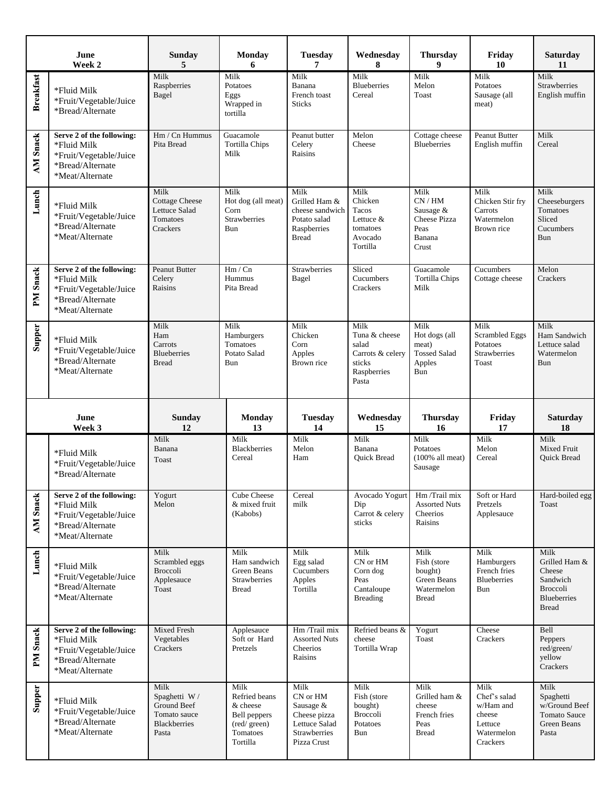|                     | June<br>Week 2                                                                                            | <b>Sunday</b><br>5                                                     | <b>Monday</b><br>6                                                         | <b>Tuesday</b><br>7                                                                     | Wednesday<br>8                                                                       | <b>Thursday</b><br>9                                                        | Friday<br>10                                                              | Saturday<br>11                                                                                |
|---------------------|-----------------------------------------------------------------------------------------------------------|------------------------------------------------------------------------|----------------------------------------------------------------------------|-----------------------------------------------------------------------------------------|--------------------------------------------------------------------------------------|-----------------------------------------------------------------------------|---------------------------------------------------------------------------|-----------------------------------------------------------------------------------------------|
| <b>Breakfast</b>    | *Fluid Milk<br>*Fruit/Vegetable/Juice<br>*Bread/Alternate                                                 | Milk<br>Raspberries<br>Bagel                                           | Milk<br>Potatoes<br>Eggs<br>Wrapped in<br>tortilla                         | Milk<br>Banana<br>French toast<br><b>Sticks</b>                                         | Milk<br><b>Blueberries</b><br>Cereal                                                 | Milk<br>Melon<br>Toast                                                      | Milk<br>Potatoes<br>Sausage (all<br>meat)                                 | Milk<br><b>Strawberries</b><br>English muffin                                                 |
| <b>AM Snack</b>     | Serve 2 of the following:<br>*Fluid Milk<br>*Fruit/Vegetable/Juice<br>*Bread/Alternate<br>*Meat/Alternate | $Hm / Cn$ Hummus<br>Pita Bread                                         | Guacamole<br><b>Tortilla Chips</b><br>Milk                                 | Peanut butter<br>Celery<br>Raisins                                                      | Melon<br>Cheese                                                                      | Cottage cheese<br><b>Blueberries</b>                                        | <b>Peanut Butter</b><br>English muffin                                    | Milk<br>Cereal                                                                                |
| Lunch               | *Fluid Milk<br>*Fruit/Vegetable/Juice<br>*Bread/Alternate<br>*Meat/Alternate                              | Milk<br><b>Cottage Cheese</b><br>Lettuce Salad<br>Tomatoes<br>Crackers | Milk<br>Hot dog (all meat)<br>Corn<br>Strawberries<br>Bun                  | Milk<br>Grilled Ham &<br>cheese sandwich<br>Potato salad<br>Raspberries<br><b>Bread</b> | Milk<br>Chicken<br>Tacos<br>Lettuce &<br>tomatoes<br>Avocado<br>Tortilla             | Milk<br>CN/HM<br>Sausage $&$<br>Cheese Pizza<br>Peas<br>Banana<br>Crust     | Milk<br>Chicken Stir fry<br>Carrots<br>Watermelon<br>Brown rice           | Milk<br>Cheeseburgers<br>Tomatoes<br>Sliced<br>Cucumbers<br>Bun                               |
| PM Snack            | Serve 2 of the following:<br>*Fluid Milk<br>*Fruit/Vegetable/Juice<br>*Bread/Alternate<br>*Meat/Alternate | <b>Peanut Butter</b><br>Celery<br>Raisins                              | Hm / Cn<br>Hummus<br>Pita Bread                                            | Strawberries<br>Bagel                                                                   | Sliced<br>Cucumbers<br>Crackers                                                      | Guacamole<br><b>Tortilla Chips</b><br>Milk                                  | Cucumbers<br>Cottage cheese                                               | Melon<br>Crackers                                                                             |
| <b>Supper</b>       | *Fluid Milk<br>*Fruit/Vegetable/Juice<br>*Bread/Alternate<br>*Meat/Alternate                              | Milk<br>Ham<br>Carrots<br><b>Blueberries</b><br><b>Bread</b>           | Milk<br>Hamburgers<br>Tomatoes<br>Potato Salad<br>Bun                      | Milk<br>Chicken<br>Corn<br>Apples<br>Brown rice                                         | Milk<br>Tuna & cheese<br>salad<br>Carrots & celery<br>sticks<br>Raspberries<br>Pasta | Milk<br>Hot dogs (all<br>meat)<br><b>Tossed Salad</b><br>Apples<br>Bun      | Milk<br><b>Scrambled Eggs</b><br>Potatoes<br><b>Strawberries</b><br>Toast | Milk<br>Ham Sandwich<br>Lettuce salad<br>Watermelon<br>Bun                                    |
|                     |                                                                                                           |                                                                        |                                                                            |                                                                                         |                                                                                      |                                                                             |                                                                           |                                                                                               |
|                     | June<br>Week 3                                                                                            | Sunday<br>12                                                           | <b>Monday</b><br>13                                                        | <b>Tuesday</b><br>14                                                                    | Wednesday<br>15                                                                      | <b>Thursday</b><br>16                                                       | Friday<br>17                                                              | <b>Saturday</b><br>18                                                                         |
|                     | *Fluid Milk<br>*Fruit/Vegetable/Juice<br>*Bread/Alternate                                                 | Milk<br>Banana<br>Toast                                                | Milk<br><b>Blackberries</b><br>Cereal                                      | Milk<br>Melon<br>Ham                                                                    | Milk<br>Banana<br>Quick Bread                                                        | Milk<br>Potatoes<br>$(100\%$ all meat)<br>Sausage                           | Milk<br>Melon<br>Cereal                                                   | Milk<br>Mixed Fruit<br><b>Ouick Bread</b>                                                     |
| <b>Snack</b><br>AM. | Serve 2 of the following:<br>*Fluid Milk<br>*Fruit/Vegetable/Juice<br>*Bread/Alternate<br>*Meat/Alternate | Yogurt<br>Melon                                                        | <b>Cube Cheese</b><br>& mixed fruit<br>(Kabobs)                            | Cereal<br>milk                                                                          | Avocado Yogurt<br>Dip<br>Carrot & celery<br>sticks                                   | Hm /Trail mix<br><b>Assorted Nuts</b><br>Cheerios<br>Raisins                | Soft or Hard<br>Pretzels<br>Applesauce                                    | Hard-boiled egg<br>Toast                                                                      |
| Lunch               | *Fluid Milk<br>*Fruit/Vegetable/Juice<br>*Bread/Alternate<br>*Meat/Alternate                              | Milk<br>Scrambled eggs<br>Broccoli<br>Applesauce<br>Toast              | Milk<br>Ham sandwich<br>Green Beans<br><b>Strawberries</b><br><b>Bread</b> | Milk<br>Egg salad<br>Cucumbers<br>Apples<br>Tortilla                                    | Milk<br>CN or HM<br>Corn dog<br>Peas<br>Cantaloupe<br><b>Breading</b>                | Milk<br>Fish (store<br>bought)<br>Green Beans<br>Watermelon<br><b>Bread</b> | Milk<br>Hamburgers<br>French fries<br><b>Blueberries</b><br>Bun           | Milk<br>Grilled Ham &<br>Cheese<br>Sandwich<br>Broccoli<br><b>Blueberries</b><br><b>Bread</b> |
| PM Snack            | Serve 2 of the following:<br>*Fluid Milk<br>*Fruit/Vegetable/Juice<br>*Bread/Alternate<br>*Meat/Alternate | <b>Mixed Fresh</b><br>Vegetables<br>Crackers                           | Applesauce<br>Soft or Hard<br>Pretzels                                     | Hm /Trail mix<br><b>Assorted Nuts</b><br>Cheerios<br>Raisins                            | Refried beans &<br>cheese<br>Tortilla Wrap                                           | Yogurt<br>Toast                                                             | Cheese<br>Crackers                                                        | Bell<br>Peppers<br>red/green/<br>yellow<br>Crackers                                           |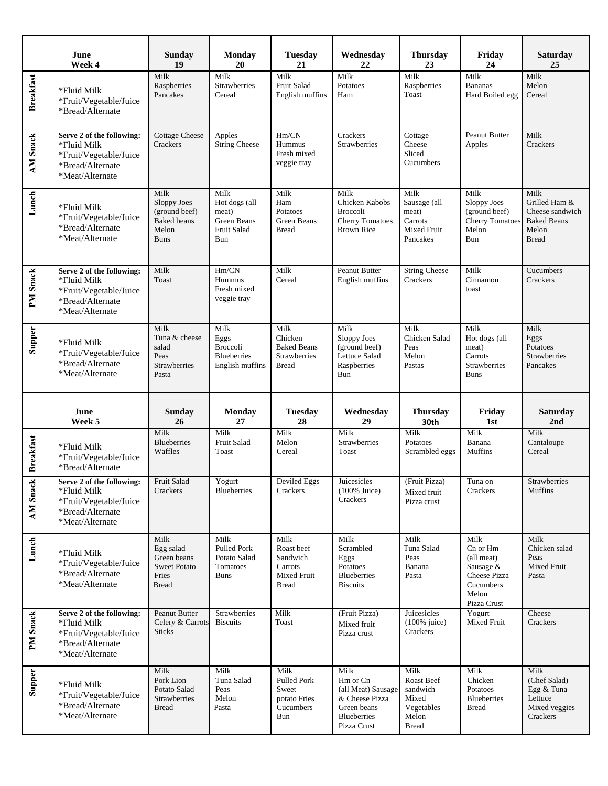|                    | June<br>Week 4                                                                                            | <b>Sunday</b><br>19                                                                | <b>Monday</b><br>20                                                      | <b>Tuesday</b><br>21                                                         | Wednesday<br>22                                                                          | <b>Thursday</b><br>23                                               | Friday<br>24                                                                                     | <b>Saturday</b><br>25                                                                   |
|--------------------|-----------------------------------------------------------------------------------------------------------|------------------------------------------------------------------------------------|--------------------------------------------------------------------------|------------------------------------------------------------------------------|------------------------------------------------------------------------------------------|---------------------------------------------------------------------|--------------------------------------------------------------------------------------------------|-----------------------------------------------------------------------------------------|
| <b>Breakfast</b>   | *Fluid Milk<br>*Fruit/Vegetable/Juice<br>*Bread/Alternate                                                 | Milk<br>Raspberries<br>Pancakes                                                    | Milk<br><b>Strawberries</b><br>Cereal                                    | Milk<br>Fruit Salad<br>English muffins                                       | Milk<br>Potatoes<br>Ham                                                                  | Milk<br>Raspberries<br>Toast                                        | Milk<br><b>Bananas</b><br>Hard Boiled egg                                                        | Milk<br>Melon<br>Cereal                                                                 |
| <b>AM Snack</b>    | Serve 2 of the following:<br>*Fluid Milk<br>*Fruit/Vegetable/Juice<br>*Bread/Alternate<br>*Meat/Alternate | <b>Cottage Cheese</b><br>Crackers                                                  | Apples<br><b>String Cheese</b>                                           | Hm/CN<br>Hummus<br>Fresh mixed<br>veggie tray                                | Crackers<br><b>Strawberries</b>                                                          | Cottage<br>Cheese<br>Sliced<br>Cucumbers                            | Peanut Butter<br>Apples                                                                          | Milk<br>Crackers                                                                        |
| Lunch              | *Fluid Milk<br>*Fruit/Vegetable/Juice<br>*Bread/Alternate<br>*Meat/Alternate                              | Milk<br>Sloppy Joes<br>(ground beef)<br><b>Baked</b> beans<br>Melon<br><b>Buns</b> | Milk<br>Hot dogs (all<br>meat)<br>Green Beans<br>Fruit Salad<br>Bun      | Milk<br>Ham<br>Potatoes<br>Green Beans<br><b>Bread</b>                       | Milk<br>Chicken Kabobs<br><b>Broccoli</b><br><b>Cherry Tomatoes</b><br><b>Brown Rice</b> | Milk<br>Sausage (all<br>meat)<br>Carrots<br>Mixed Fruit<br>Pancakes | Milk<br>Sloppy Joes<br>(ground beef)<br><b>Cherry Tomatoes</b><br>Melon<br>Bun                   | Milk<br>Grilled Ham &<br>Cheese sandwich<br><b>Baked Beans</b><br>Melon<br><b>Bread</b> |
| PM Snack           | Serve 2 of the following:<br>*Fluid Milk<br>*Fruit/Vegetable/Juice<br>*Bread/Alternate<br>*Meat/Alternate | Milk<br>Toast                                                                      | Hm/CN<br>Hummus<br>Fresh mixed<br>veggie tray                            | Milk<br>Cereal                                                               | Peanut Butter<br>English muffins                                                         | <b>String Cheese</b><br>Crackers                                    | Milk<br>Cinnamon<br>toast                                                                        | Cucumbers<br>Crackers                                                                   |
| Supper             | *Fluid Milk<br>*Fruit/Vegetable/Juice<br>*Bread/Alternate<br>*Meat/Alternate                              | Milk<br>Tuna & cheese<br>salad<br>Peas<br><b>Strawberries</b><br>Pasta             | Milk<br>Eggs<br><b>Broccoli</b><br><b>Blueberries</b><br>English muffins | Milk<br>Chicken<br><b>Baked Beans</b><br><b>Strawberries</b><br><b>Bread</b> | Milk<br>Sloppy Joes<br>(ground beef)<br>Lettuce Salad<br>Raspberries<br>Bun              | Milk<br>Chicken Salad<br>Peas<br>Melon<br>Pastas                    | Milk<br>Hot dogs (all<br>meat)<br>Carrots<br>Strawberries<br><b>Buns</b>                         | Milk<br>Eggs<br>Potatoes<br>Strawberries<br>Pancakes                                    |
|                    |                                                                                                           |                                                                                    |                                                                          |                                                                              |                                                                                          |                                                                     |                                                                                                  |                                                                                         |
|                    | June<br>Week 5                                                                                            | <b>Sunday</b><br>26                                                                | <b>Monday</b><br>27                                                      | <b>Tuesday</b><br>28                                                         | Wednesday<br>29                                                                          | <b>Thursday</b><br>30th                                             | Friday<br>1st                                                                                    | <b>Saturday</b><br>2nd                                                                  |
| <b>Breakfast</b>   | *Fluid Milk<br>*Fruit/Vegetable/Juice<br>*Bread/Alternate                                                 | Milk<br><b>Blueberries</b><br>Waffles                                              | Milk<br>Fruit Salad<br>Toast                                             | Milk<br>Melon<br>Cereal                                                      | Milk<br>Strawberries<br>Toast                                                            | Milk<br>Potatoes<br>Scrambled eggs                                  | Milk<br>Banana<br>Muffins                                                                        | Milk<br>Cantaloupe<br>Cereal                                                            |
| AM Snack           | Serve 2 of the following:<br>*Fluid Milk<br>*Fruit/Vegetable/Juice<br>*Bread/Alternate<br>*Meat/Alternate | <b>Fruit Salad</b><br>Crackers                                                     | Yogurt<br>Blueberries                                                    | Deviled Eggs<br>Crackers                                                     | Juicesicles<br>$(100\%$ Juice)<br>Crackers                                               | (Fruit Pizza)<br>Mixed fruit<br>Pizza crust                         | Tuna on<br>Crackers                                                                              | Strawberries<br>Muffins                                                                 |
| Lunch              | *Fluid Milk<br>*Fruit/Vegetable/Juice<br>*Bread/Alternate<br>*Meat/Alternate                              | Milk<br>Egg salad<br>Green beans<br><b>Sweet Potato</b><br>Fries<br>Bread          | Milk<br>Pulled Pork<br>Potato Salad<br>Tomatoes<br>Buns                  | Milk<br>Roast beef<br>Sandwich<br>Carrots<br>Mixed Fruit<br><b>Bread</b>     | Milk<br>Scrambled<br>Eggs<br>Potatoes<br><b>Blueberries</b><br><b>Biscuits</b>           | Milk<br>Tuna Salad<br>Peas<br>Banana<br>Pasta                       | Milk<br>Cn or Hm<br>(all meat)<br>Sausage &<br>Cheese Pizza<br>Cucumbers<br>Melon<br>Pizza Crust | Milk<br>Chicken salad<br>Peas<br>Mixed Fruit<br>Pasta                                   |
| PM Snack<br>Supper | Serve 2 of the following:<br>*Fluid Milk<br>*Fruit/Vegetable/Juice<br>*Bread/Alternate<br>*Meat/Alternate | Peanut Butter<br>Celery & Carrots<br>Sticks                                        | Strawberries<br><b>Biscuits</b>                                          | Milk<br>Toast                                                                | (Fruit Pizza)<br>Mixed fruit<br>Pizza crust                                              | Juicesicles<br>$(100\%$ juice)<br>Crackers                          | Yogurt<br>Mixed Fruit                                                                            | Cheese<br>Crackers                                                                      |